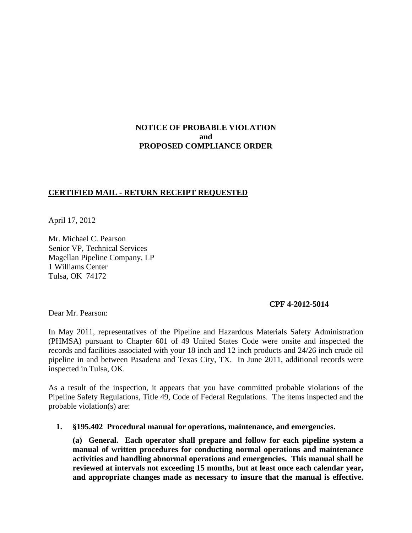# **NOTICE OF PROBABLE VIOLATION and PROPOSED COMPLIANCE ORDER**

# **CERTIFIED MAIL - RETURN RECEIPT REQUESTED**

April 17, 2012

Mr. Michael C. Pearson Senior VP, Technical Services Magellan Pipeline Company, LP 1 Williams Center Tulsa, OK 74172

## **CPF 4-2012-5014**

Dear Mr. Pearson:

In May 2011, representatives of the Pipeline and Hazardous Materials Safety Administration (PHMSA) pursuant to Chapter 601 of 49 United States Code were onsite and inspected the records and facilities associated with your 18 inch and 12 inch products and 24/26 inch crude oil pipeline in and between Pasadena and Texas City, TX. In June 2011, additional records were inspected in Tulsa, OK.

As a result of the inspection, it appears that you have committed probable violations of the Pipeline Safety Regulations, Title 49, Code of Federal Regulations. The items inspected and the probable violation(s) are:

**1. §195.402 Procedural manual for operations, maintenance, and emergencies.**

**(a) General. Each operator shall prepare and follow for each pipeline system a manual of written procedures for conducting normal operations and maintenance activities and handling abnormal operations and emergencies. This manual shall be reviewed at intervals not exceeding 15 months, but at least once each calendar year, and appropriate changes made as necessary to insure that the manual is effective.**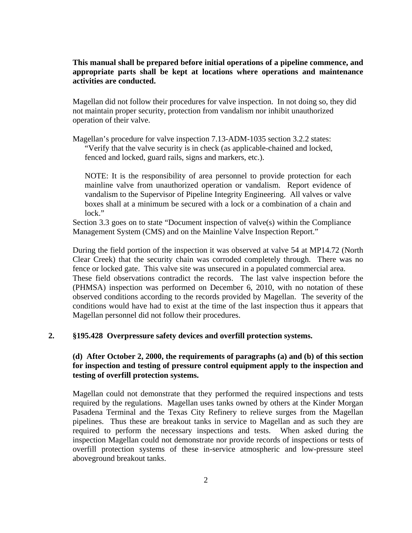# **This manual shall be prepared before initial operations of a pipeline commence, and appropriate parts shall be kept at locations where operations and maintenance activities are conducted.**

Magellan did not follow their procedures for valve inspection. In not doing so, they did not maintain proper security, protection from vandalism nor inhibit unauthorized operation of their valve.

Magellan's procedure for valve inspection 7.13-ADM-1035 section 3.2.2 states: "Verify that the valve security is in check (as applicable-chained and locked, fenced and locked, guard rails, signs and markers, etc.).

NOTE: It is the responsibility of area personnel to provide protection for each mainline valve from unauthorized operation or vandalism. Report evidence of vandalism to the Supervisor of Pipeline Integrity Engineering. All valves or valve boxes shall at a minimum be secured with a lock or a combination of a chain and lock."

Section 3.3 goes on to state "Document inspection of valve(s) within the Compliance Management System (CMS) and on the Mainline Valve Inspection Report."

During the field portion of the inspection it was observed at valve 54 at MP14.72 (North Clear Creek) that the security chain was corroded completely through. There was no fence or locked gate. This valve site was unsecured in a populated commercial area. These field observations contradict the records. The last valve inspection before the (PHMSA) inspection was performed on December 6, 2010, with no notation of these observed conditions according to the records provided by Magellan. The severity of the conditions would have had to exist at the time of the last inspection thus it appears that Magellan personnel did not follow their procedures.

#### **2. §195.428 Overpressure safety devices and overfill protection systems.**

# **(d) After October 2, 2000, the requirements of paragraphs (a) and (b) of this section for inspection and testing of pressure control equipment apply to the inspection and testing of overfill protection systems.**

Magellan could not demonstrate that they performed the required inspections and tests required by the regulations. Magellan uses tanks owned by others at the Kinder Morgan Pasadena Terminal and the Texas City Refinery to relieve surges from the Magellan pipelines. Thus these are breakout tanks in service to Magellan and as such they are required to perform the necessary inspections and tests. When asked during the inspection Magellan could not demonstrate nor provide records of inspections or tests of overfill protection systems of these in-service atmospheric and low-pressure steel aboveground breakout tanks.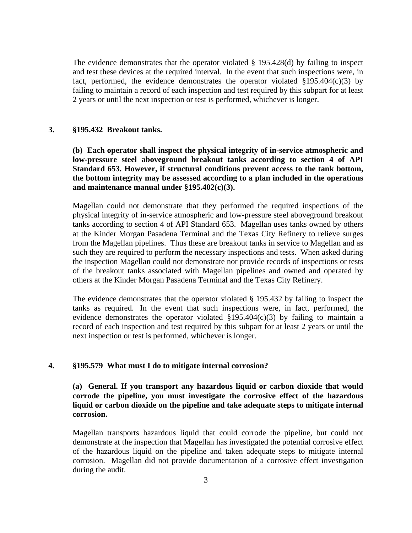The evidence demonstrates that the operator violated § 195.428(d) by failing to inspect and test these devices at the required interval. In the event that such inspections were, in fact, performed, the evidence demonstrates the operator violated  $\S 195.404(c)(3)$  by failing to maintain a record of each inspection and test required by this subpart for at least 2 years or until the next inspection or test is performed, whichever is longer.

#### **3. §195.432 Breakout tanks.**

**(b) Each operator shall inspect the physical integrity of in-service atmospheric and low-pressure steel aboveground breakout tanks according to section 4 of API Standard 653. However, if structural conditions prevent access to the tank bottom, the bottom integrity may be assessed according to a plan included in the operations and maintenance manual under §195.402(c)(3).**

Magellan could not demonstrate that they performed the required inspections of the physical integrity of in-service atmospheric and low-pressure steel aboveground breakout tanks according to section 4 of API Standard 653. Magellan uses tanks owned by others at the Kinder Morgan Pasadena Terminal and the Texas City Refinery to relieve surges from the Magellan pipelines. Thus these are breakout tanks in service to Magellan and as such they are required to perform the necessary inspections and tests. When asked during the inspection Magellan could not demonstrate nor provide records of inspections or tests of the breakout tanks associated with Magellan pipelines and owned and operated by others at the Kinder Morgan Pasadena Terminal and the Texas City Refinery.

The evidence demonstrates that the operator violated § 195.432 by failing to inspect the tanks as required. In the event that such inspections were, in fact, performed, the evidence demonstrates the operator violated  $\S 195.404(c)(3)$  by failing to maintain a record of each inspection and test required by this subpart for at least 2 years or until the next inspection or test is performed, whichever is longer.

#### **4. §195.579 What must I do to mitigate internal corrosion?**

**(a) General. If you transport any hazardous liquid or carbon dioxide that would corrode the pipeline, you must investigate the corrosive effect of the hazardous liquid or carbon dioxide on the pipeline and take adequate steps to mitigate internal corrosion.**

Magellan transports hazardous liquid that could corrode the pipeline, but could not demonstrate at the inspection that Magellan has investigated the potential corrosive effect of the hazardous liquid on the pipeline and taken adequate steps to mitigate internal corrosion. Magellan did not provide documentation of a corrosive effect investigation during the audit.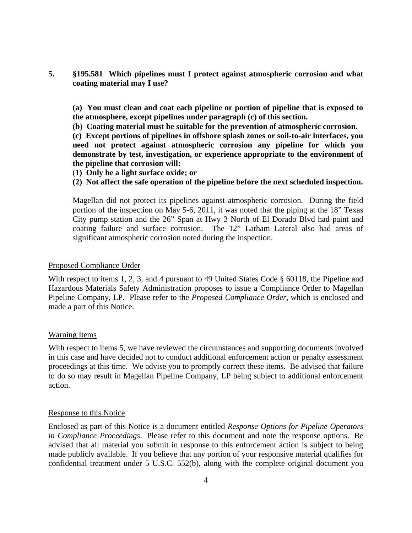**5. §195.581 Which pipelines must I protect against atmospheric corrosion and what coating material may I use?**

**(a) You must clean and coat each pipeline or portion of pipeline that is exposed to the atmosphere, except pipelines under paragraph (c) of this section.**

**(b) Coating material must be suitable for the prevention of atmospheric corrosion.**

**(c) Except portions of pipelines in offshore splash zones or soil-to-air interfaces, you need not protect against atmospheric corrosion any pipeline for which you demonstrate by test, investigation, or experience appropriate to the environment of the pipeline that corrosion will:**

(**1) Only be a light surface oxide; or**

# **(2) Not affect the safe operation of the pipeline before the next scheduled inspection.**

Magellan did not protect its pipelines against atmospheric corrosion. During the field portion of the inspection on May 5-6, 2011, it was noted that the piping at the 18" Texas City pump station and the 26" Span at Hwy 3 North of El Dorado Blvd had paint and coating failure and surface corrosion. The 12" Latham Lateral also had areas of significant atmospheric corrosion noted during the inspection.

## Proposed Compliance Order

With respect to items 1, 2, 3, and 4 pursuant to 49 United States Code § 60118, the Pipeline and Hazardous Materials Safety Administration proposes to issue a Compliance Order to Magellan Pipeline Company, LP. Please refer to the *Proposed Compliance Order*, which is enclosed and made a part of this Notice.

## Warning Items

With respect to items 5, we have reviewed the circumstances and supporting documents involved in this case and have decided not to conduct additional enforcement action or penalty assessment proceedings at this time. We advise you to promptly correct these items. Be advised that failure to do so may result in Magellan Pipeline Company, LP being subject to additional enforcement action.

## Response to this Notice

Enclosed as part of this Notice is a document entitled *Response Options for Pipeline Operators in Compliance Proceedings*. Please refer to this document and note the response options. Be advised that all material you submit in response to this enforcement action is subject to being made publicly available. If you believe that any portion of your responsive material qualifies for confidential treatment under 5 U.S.C. 552(b), along with the complete original document you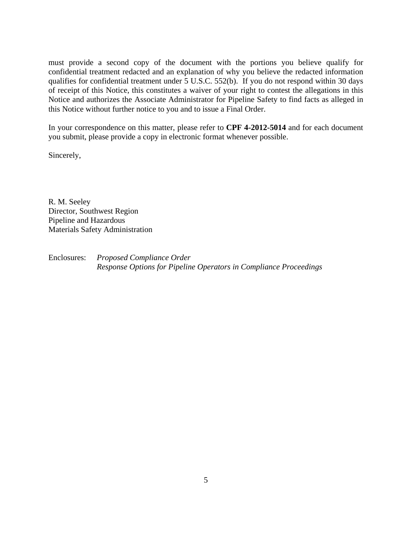must provide a second copy of the document with the portions you believe qualify for confidential treatment redacted and an explanation of why you believe the redacted information qualifies for confidential treatment under 5 U.S.C. 552(b). If you do not respond within 30 days of receipt of this Notice, this constitutes a waiver of your right to contest the allegations in this Notice and authorizes the Associate Administrator for Pipeline Safety to find facts as alleged in this Notice without further notice to you and to issue a Final Order.

In your correspondence on this matter, please refer to **CPF 4-2012-5014** and for each document you submit, please provide a copy in electronic format whenever possible.

Sincerely,

R. M. Seeley Director, Southwest Region Pipeline and Hazardous Materials Safety Administration

Enclosures: *Proposed Compliance Order Response Options for Pipeline Operators in Compliance Proceedings*